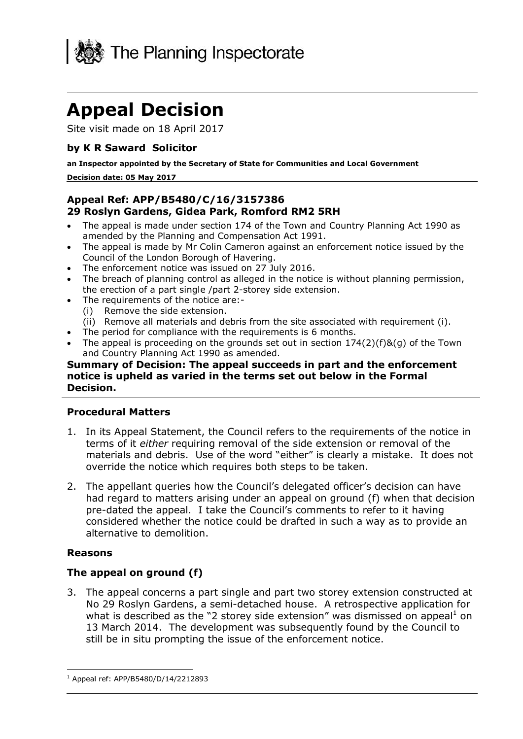

# **Appeal Decision**

Site visit made on 18 April 2017

## **by K R Saward Solicitor**

**an Inspector appointed by the Secretary of State for Communities and Local Government**

#### **Decision date: 05 May 2017**

# **Appeal Ref: APP/B5480/C/16/3157386 29 Roslyn Gardens, Gidea Park, Romford RM2 5RH**

- The appeal is made under section 174 of the Town and Country Planning Act 1990 as amended by the Planning and Compensation Act 1991.
- The appeal is made by Mr Colin Cameron against an enforcement notice issued by the Council of the London Borough of Havering.
- The enforcement notice was issued on 27 July 2016.
- The breach of planning control as alleged in the notice is without planning permission, the erection of a part single /part 2-storey side extension.
- The requirements of the notice are:-
	- (i) Remove the side extension.
- (ii) Remove all materials and debris from the site associated with requirement (i).
- The period for compliance with the requirements is 6 months.
- The appeal is proceeding on the grounds set out in section 174(2)(f)&(g) of the Town and Country Planning Act 1990 as amended.

## **Summary of Decision: The appeal succeeds in part and the enforcement notice is upheld as varied in the terms set out below in the Formal Decision.**

#### **Procedural Matters**

- 1. In its Appeal Statement, the Council refers to the requirements of the notice in terms of it *either* requiring removal of the side extension or removal of the materials and debris. Use of the word "either" is clearly a mistake. It does not override the notice which requires both steps to be taken.
- 2. The appellant queries how the Council's delegated officer's decision can have had regard to matters arising under an appeal on ground (f) when that decision pre-dated the appeal. I take the Council's comments to refer to it having considered whether the notice could be drafted in such a way as to provide an alternative to demolition.

## **Reasons**

j

## **The appeal on ground (f)**

3. The appeal concerns a part single and part two storey extension constructed at No 29 Roslyn Gardens, a semi-detached house. A retrospective application for what is described as the "2 storey side extension" was dismissed on appeal<sup>1</sup> on 13 March 2014. The development was subsequently found by the Council to still be in situ prompting the issue of the enforcement notice.

 $1$  Appeal ref: APP/B5480/D/14/2212893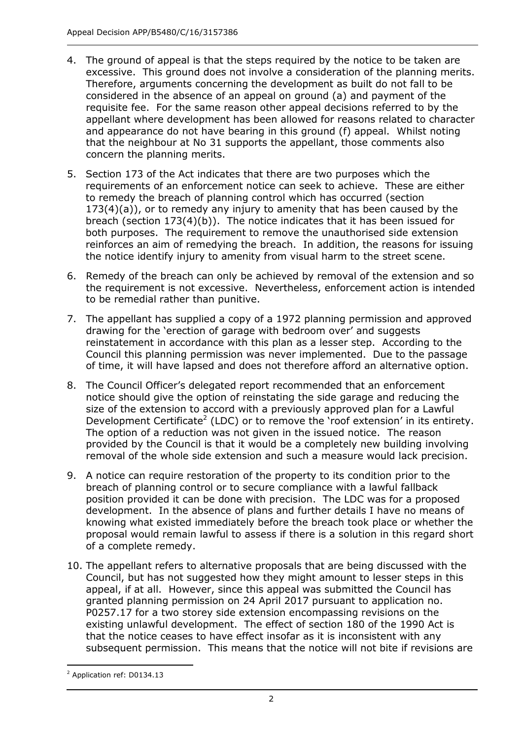- 4. The ground of appeal is that the steps required by the notice to be taken are excessive. This ground does not involve a consideration of the planning merits. Therefore, arguments concerning the development as built do not fall to be considered in the absence of an appeal on ground (a) and payment of the requisite fee. For the same reason other appeal decisions referred to by the appellant where development has been allowed for reasons related to character and appearance do not have bearing in this ground (f) appeal. Whilst noting that the neighbour at No 31 supports the appellant, those comments also concern the planning merits.
- 5. Section 173 of the Act indicates that there are two purposes which the requirements of an enforcement notice can seek to achieve. These are either to remedy the breach of planning control which has occurred (section 173(4)(a)), or to remedy any injury to amenity that has been caused by the breach (section 173(4)(b)). The notice indicates that it has been issued for both purposes. The requirement to remove the unauthorised side extension reinforces an aim of remedying the breach. In addition, the reasons for issuing the notice identify injury to amenity from visual harm to the street scene.
- 6. Remedy of the breach can only be achieved by removal of the extension and so the requirement is not excessive. Nevertheless, enforcement action is intended to be remedial rather than punitive.
- 7. The appellant has supplied a copy of a 1972 planning permission and approved drawing for the 'erection of garage with bedroom over' and suggests reinstatement in accordance with this plan as a lesser step. According to the Council this planning permission was never implemented. Due to the passage of time, it will have lapsed and does not therefore afford an alternative option.
- 8. The Council Officer's delegated report recommended that an enforcement notice should give the option of reinstating the side garage and reducing the size of the extension to accord with a previously approved plan for a Lawful Development Certificate<sup>2</sup> (LDC) or to remove the 'roof extension' in its entirety. The option of a reduction was not given in the issued notice. The reason provided by the Council is that it would be a completely new building involving removal of the whole side extension and such a measure would lack precision.
- 9. A notice can require restoration of the property to its condition prior to the breach of planning control or to secure compliance with a lawful fallback position provided it can be done with precision. The LDC was for a proposed development. In the absence of plans and further details I have no means of knowing what existed immediately before the breach took place or whether the proposal would remain lawful to assess if there is a solution in this regard short of a complete remedy.
- 10. The appellant refers to alternative proposals that are being discussed with the Council, but has not suggested how they might amount to lesser steps in this appeal, if at all. However, since this appeal was submitted the Council has granted planning permission on 24 April 2017 pursuant to application no. P0257.17 for a two storey side extension encompassing revisions on the existing unlawful development. The effect of section 180 of the 1990 Act is that the notice ceases to have effect insofar as it is inconsistent with any subsequent permission. This means that the notice will not bite if revisions are

<sup>-</sup><sup>2</sup> Application ref: D0134.13